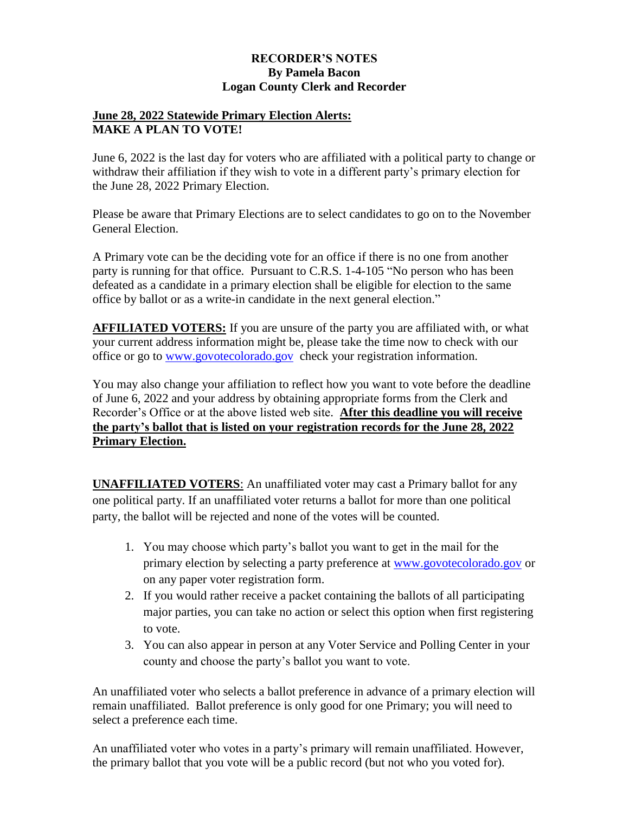## **RECORDER'S NOTES By Pamela Bacon Logan County Clerk and Recorder**

## **June 28, 2022 Statewide Primary Election Alerts: MAKE A PLAN TO VOTE!**

June 6, 2022 is the last day for voters who are affiliated with a political party to change or withdraw their affiliation if they wish to vote in a different party's primary election for the June 28, 2022 Primary Election.

Please be aware that Primary Elections are to select candidates to go on to the November General Election.

A Primary vote can be the deciding vote for an office if there is no one from another party is running for that office. Pursuant to C.R.S. 1-4-105 "No person who has been defeated as a candidate in a primary election shall be eligible for election to the same office by ballot or as a write-in candidate in the next general election."

**AFFILIATED VOTERS:** If you are unsure of the party you are affiliated with, or what your current address information might be, please take the time now to check with our office or go to [www.govotecolorado.gov](http://www.govotecolorado.gov/) check your registration information.

You may also change your affiliation to reflect how you want to vote before the deadline of June 6, 2022 and your address by obtaining appropriate forms from the Clerk and Recorder's Office or at the above listed web site. **After this deadline you will receive the party's ballot that is listed on your registration records for the June 28, 2022 Primary Election.** 

**UNAFFILIATED VOTERS**: An unaffiliated voter may cast a Primary ballot for any one political party. If an unaffiliated voter returns a ballot for more than one political party, the ballot will be rejected and none of the votes will be counted.

- 1. You may choose which party's ballot you want to get in the mail for the primary election by selecting a party preference at [www.govotecolorado.gov](http://www.govotecolorado.gov/) or on any paper voter registration form.
- 2. If you would rather receive a packet containing the ballots of all participating major parties, you can take no action or select this option when first registering to vote.
- 3. You can also appear in person at any Voter Service and Polling Center in your county and choose the party's ballot you want to vote.

An unaffiliated voter who selects a ballot preference in advance of a primary election will remain unaffiliated. Ballot preference is only good for one Primary; you will need to select a preference each time.

An unaffiliated voter who votes in a party's primary will remain unaffiliated. However, the primary ballot that you vote will be a public record (but not who you voted for).